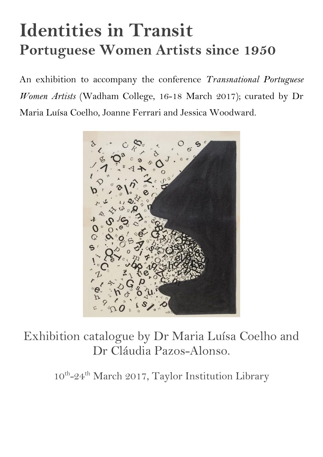# **Identities in Transit Portuguese Women Artists since 1950**

An exhibition to accompany the conference *Transnational Portuguese Women Artists* (Wadham College, 16-18 March 2017); curated by Dr Maria Luísa Coelho, Joanne Ferrari and Jessica Woodward.



Exhibition catalogue by Dr Maria Luísa Coelho and Dr Cláudia Pazos-Alonso.

10<sup>th</sup>-24<sup>th</sup> March 2017, Taylor Institution Library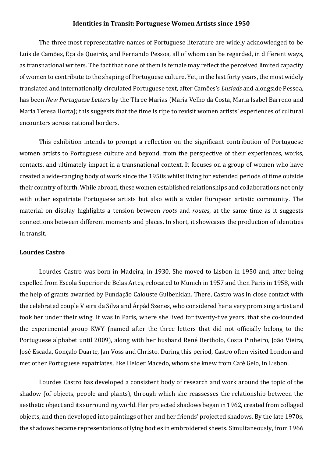## **Identities in Transit: Portuguese Women Artists since 1950**

The three most representative names of Portuguese literature are widely acknowledged to be Luís de Camões, Eça de Queirós, and Fernando Pessoa, all of whom can be regarded, in different ways, as transnational writers. The fact that none of them is female may reflect the perceived limited capacity of women to contribute to the shaping of Portuguese culture. Yet, in the last forty years, the most widely translated and internationally circulated Portuguese text, after Camões's *Lusiads* and alongside Pessoa, has been *New Portuguese Letters* by the Three Marias (Maria Velho da Costa, Maria Isabel Barreno and Maria Teresa Horta); this suggests that the time is ripe to revisit women artists' experiences of cultural encounters across national borders.

This exhibition intends to prompt a reflection on the significant contribution of Portuguese women artists to Portuguese culture and beyond, from the perspective of their experiences, works, contacts, and ultimately impact in a transnational context. It focuses on a group of women who have created a wide-ranging body of work since the 1950s whilst living for extended periods of time outside their country of birth. While abroad, these women established relationships and collaborations not only with other expatriate Portuguese artists but also with a wider European artistic community. The material on display highlights a tension between *roots* and *routes*, at the same time as it suggests connections between different moments and places. In short, it showcases the production of identities in transit.

## **Lourdes Castro**

Lourdes Castro was born in Madeira, in 1930. She moved to Lisbon in 1950 and, after being expelled from Escola Superior de Belas Artes, relocated to Munich in 1957 and then Paris in 1958, with the help of grants awarded by Fundação Calouste Gulbenkian. There, Castro was in close contact with the celebrated couple Vieira da Silva and Árpád Szenes, who considered her a very promising artist and took her under their wing. It was in Paris, where she lived for twenty-five years, that she co-founded the experimental group KWY (named after the three letters that did not officially belong to the Portuguese alphabet until 2009), along with her husband René Bertholo, [Costa Pinheiro,](https://pt.wikipedia.org/wiki/Costa_Pinheiro) [João Vieira,](https://pt.wikipedia.org/wiki/Jo%C3%A3o_Rodrigues_Vieira) [José Escada,](https://pt.wikipedia.org/wiki/Jos%C3%A9_Escada) [Gonçalo Duarte,](https://pt.wikipedia.org/wiki/Gon%C3%A7alo_Duarte) [Jan Voss](https://pt.wikipedia.org/w/index.php?title=Jan_Voss&action=edit&redlink=1) and [Christo.](https://pt.wikipedia.org/wiki/Christo) During this period, Castro often visited London and met other Portuguese expatriates, like Helder Macedo, whom she knew from Café Gelo, in Lisbon.

Lourdes Castro has developed a consistent body of research and work around the topic of the shadow (of objects, people and plants), through which she reassesses the relationship between the aesthetic object and its surrounding world. Her projected shadows began in 1962, created from collaged objects, and then developed into paintings of her and her friends' projected shadows. By the late 1970s, the shadows became representations of lying bodies in embroidered sheets. Simultaneously, from 1966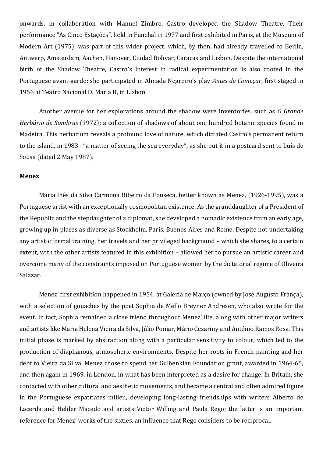onwards, in collaboration with Manuel Zimbro, Castro developed the Shadow Theatre. Their performance "As Cinco Estações", held in Funchal in 1977 and first exhibited in Paris, at the Museum of Modern Art (1975), was part of this wider project, which, by then, had already travelled to Berlin, Antwerp, Amsterdam, Aachen, Hanover, Ciudad Bolivar, Caracas and Lisbon. Despite the international birth of the Shadow Theatre, Castro's interest in radical experimentation is also rooted in the Portuguese avant-garde: she participated in Almada Negreiro's play *Antes de Começar*, first staged in 1956 at Teatro Nacional D. Maria II, in Lisbon.

Another avenue for her explorations around the shadow were inventories, such as *O Grande Herbário de Sombras* (1972): a collection of shadows of about one hundred botanic species found in Madeira. This herbarium reveals a profound love of nature, which dictated Castro's permanent return to the island, in 1983– "a matter of seeing the sea everyday", as she put it in a postcard sent to Luís de Sousa (dated 2 May 1987).

### **Menez**

Maria Inês da Silva Carmona Ribeiro da Fonseca, better known as Menez, (1926-1995), was a Portuguese artist with an exceptionally cosmopolitan existence. As the granddaughter of a President of the Republic and the stepdaughter of a diplomat, she developed a nomadic existence from an early age, growing up in places as diverse as Stockholm, Paris, Buenos Aires and Rome. Despite not undertaking any artistic formal training, her travels and her privileged background – which she shares, to a certain extent, with the other artists featured in this exhibition – allowed her to pursue an artistic career and overcome many of the constraints imposed on Portuguese women by the dictatorial regime of Oliveira Salazar.

Menez' first exhibition happened in 1954, at Galeria de Março (owned by José Augusto França), with a selection of gouaches by the poet Sophia de Mello Breyner Andresen, who also wrote for the event. In fact, Sophia remained a close friend throughout Menez' life, along with other major writers and artists like Maria Helena Vieira da Silva, Júlio Pomar, Mário Cesariny and António Ramos Rosa. This initial phase is marked by abstraction along with a particular sensitivity to colour, which led to the production of diaphanous, atmospheric environments. Despite her roots in French painting and her debt to Vieira da Silva, Menez chose to spend her Gulbenkian Foundation grant, awarded in 1964-65, and then again in 1969, in London, in what has been interpreted as a desire for change. In Britain, she contacted with other cultural and aesthetic movements, and became a central and often admired figure in the Portuguese expatriates milieu, developing long-lasting friendships with writers Alberto de Lacerda and Helder Macedo and artists Victor Willing and Paula Rego; the latter is an important reference for Menez' works of the sixties, an influence that Rego considers to be reciprocal.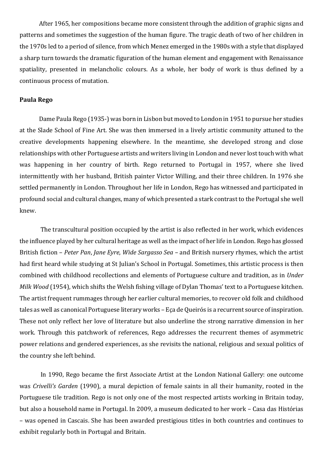After 1965, her compositions became more consistent through the addition of graphic signs and patterns and sometimes the suggestion of the human figure. The tragic death of two of her children in the 1970s led to a period of silence, from which Menez emerged in the 1980s with a style that displayed a sharp turn towards the dramatic figuration of the human element and engagement with Renaissance spatiality, presented in melancholic colours. As a whole, her body of work is thus defined by a continuous process of mutation.

## **Paula Rego**

Dame Paula Rego (1935-) was born in Lisbon but moved to London in 1951 to pursue her studies at the Slade School of Fine Art. She was then immersed in a lively artistic community attuned to the creative developments happening elsewhere. In the meantime, she developed strong and close relationships with other Portuguese artists and writers living in London and never lost touch with what was happening in her country of birth. Rego returned to Portugal in 1957, where she lived intermittently with her husband, British painter Victor Willing, and their three children. In 1976 she settled permanently in London. Throughout her life in London, Rego has witnessed and participated in profound social and cultural changes, many of which presented a stark contrast to the Portugal she well knew.

The transcultural position occupied by the artist is also reflected in her work, which evidences the influence played by her cultural heritage as well as the impact of her life in London. Rego has glossed British fiction – *Peter Pan*, *Jane Eyre*, *Wide Sargasso Sea* – and British nursery rhymes, which the artist had first heard while studying at St Julian's School in Portugal. Sometimes, this artistic process is then combined with childhood recollections and elements of Portuguese culture and tradition, as in *Under Milk Wood* (1954), which shifts the Welsh fishing village of Dylan Thomas' text to a Portuguese kitchen. The artist frequent rummages through her earlier cultural memories, to recover old folk and childhood tales as well as canonical Portuguese literary works – Eça de Queirós is a recurrent source of inspiration. These not only reflect her love of literature but also underline the strong narrative dimension in her work. Through this patchwork of references, Rego addresses the recurrent themes of asymmetric power relations and gendered experiences, as she revisits the national, religious and sexual politics of the country she left behind.

In 1990, Rego became the first Associate Artist at the London National Gallery: one outcome was *Crivelli's Garden* (1990), a mural depiction of female saints in all their humanity, rooted in the Portuguese tile tradition. Rego is not only one of the most respected artists working in Britain today, but also a household name in Portugal. In 2009, a museum dedicated to her work – Casa das Histórias – was opened in Cascais. She has been awarded prestigious titles in both countries and continues to exhibit regularly both in Portugal and Britain.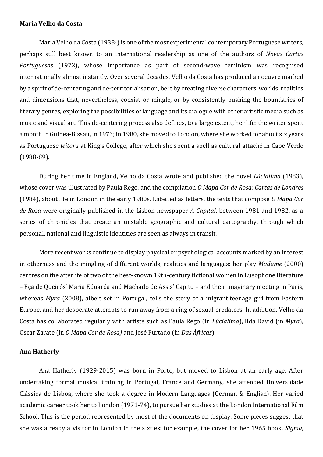## **Maria Velho da Costa**

Maria Velho da Costa (1938-) is one of the most experimental contemporary Portuguese writers, perhaps still best known to an international readership as one of the authors of *Novas Cartas Portuguesas* (1972), whose importance as part of second-wave feminism was recognised internationally almost instantly. Over several decades, Velho da Costa has produced an oeuvre marked by a spirit of de-centering and de-territorialisation, be it by creating diverse characters, worlds, realities and dimensions that, nevertheless, coexist or mingle, or by consistently pushing the boundaries of literary genres, exploring the possibilities of language and its dialogue with other artistic media such as music and visual art. This de-centering process also defines, to a large extent, her life: the writer spent a month in Guinea-Bissau, in 1973; in 1980, she moved to London, where she worked for about six years as Portuguese *leitora* at King's College, after which she spent a spell as cultural attaché in Cape Verde (1988-89).

During her time in England, Velho da Costa wrote and published the novel *Lúcialima* (1983), whose cover was illustrated by Paula Rego, and the compilation *O Mapa Cor de Rosa: Cartas de Londres* (1984), about life in London in the early 1980s. Labelled as letters, the texts that compose *O Mapa Cor de Rosa* were originally published in the Lisbon newspaper *A Capital*, between 1981 and 1982, as a series of chronicles that create an unstable geographic and cultural cartography, through which personal, national and linguistic identities are seen as always in transit.

More recent works continue to display physical or psychological accounts marked by an interest in otherness and the mingling of different worlds, realities and languages: her play *Madame* (2000) centres on the afterlife of two of the best-known 19th-century fictional women in Lusophone literature – Eça de Queirós' Maria Eduarda and Machado de Assis' Capitu – and their imaginary meeting in Paris, whereas *Myra* (2008), albeit set in Portugal, tells the story of a migrant teenage girl from Eastern Europe, and her desperate attempts to run away from a ring of sexual predators. In addition, Velho da Costa has collaborated regularly with artists such as Paula Rego (in *Lúcialima*), Ilda David (in *Myra*), Oscar Zarate (in *O Mapa Cor de Rosa)* and José Furtado (in *Das Áfricas*).

### **Ana Hatherly**

Ana Hatherly (1929-2015) was born in Porto, but moved to Lisbon at an early age. After undertaking formal musical training in Portugal, France and Germany, she attended Universidade Clássica de Lisboa, where she took a degree in Modern Languages (German & English). Her varied academic career took her to London (1971-74), to pursue her studies at the London International Film School. This is the period represented by most of the documents on display. Some pieces suggest that she was already a visitor in London in the sixties: for example, the cover for her 1965 book, *Sigma,*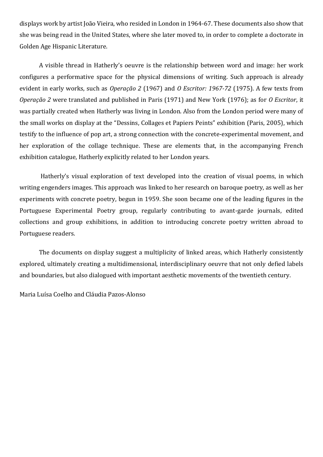displays work by artist João Vieira, who resided in London in 1964-67. These documents also show that she was being read in the United States, where she later moved to, in order to complete a doctorate in Golden Age Hispanic Literature.

A visible thread in Hatherly's oeuvre is the relationship between word and image: her work configures a performative space for the physical dimensions of writing. Such approach is already evident in early works, such as *Operação 2* (1967) and *O Escritor: 1967-72* (1975). A few texts from *Operação 2* were translated and published in Paris (1971) and New York (1976); as for *O Escritor*, it was partially created when Hatherly was living in London. Also from the London period were many of the small works on display at the "Dessins, Collages et Papiers Peints" exhibition (Paris, 2005), which testify to the influence of pop art, a strong connection with the concrete-experimental movement, and her exploration of the collage technique. These are elements that, in the accompanying French exhibition catalogue, Hatherly explicitly related to her London years.

Hatherly's visual exploration of text developed into the creation of visual poems, in which writing engenders images. This approach was linked to her research on baroque poetry, as well as her experiments with concrete poetry, begun in 1959. She soon became one of the leading figures in the Portuguese Experimental Poetry group, regularly contributing to avant-garde journals, edited collections and group exhibitions, in addition to introducing concrete poetry written abroad to Portuguese readers.

The documents on display suggest a multiplicity of linked areas, which Hatherly consistently explored, ultimately creating a multidimensional, interdisciplinary oeuvre that not only defied labels and boundaries, but also dialogued with important aesthetic movements of the twentieth century.

Maria Luísa Coelho and Cláudia Pazos-Alonso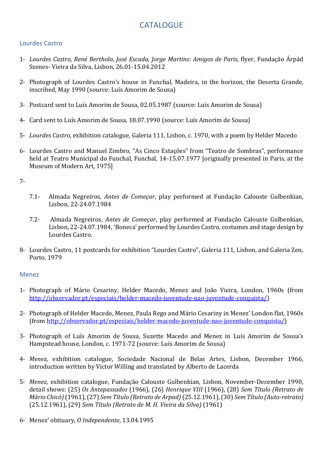# **CATALOGUE**

# Lourdes Castro

- 1- *Lourdes Castro, René Bertholo, José Escada, Jorge Martins*: *Amigos de Paris*, flyer, Fundação Árpád Szenes- Vieira da Silva, Lisbon, 26.01-15.04.2012
- 2- Photograph of Lourdes Castro's house in Funchal, Madeira, in the horizon, the Deserta Grande, inscribed, May 1990 (source: Luís Amorim de Sousa)
- 3- Postcard sent to Luís Amorim de Sousa, 02.05.1987 (source: Luís Amorim de Sousa)
- 4- Card sent to Luís Amorim de Sousa, 18.07.1990 (source: Luís Amorim de Sousa)
- 5- *Lourdes Castro*, exhibition catalogue, Galeria 111, Lisbon, c. 1970, with a poem by Helder Macedo
- 6- Lourdes Castro and Manuel Zimbro, "As Cinco Estações" from "Teatro de Sombras", performance held at Teatro Municipal do Funchal, Funchal, 14-15.07.1977 [originally presented in Paris, at the Museum of Modern Art, 1975]

7-

- 7.1- Almada Negreiros, *Antes de Começar*, play performed at Fundação Calouste Gulbenkian, Lisbon, 22-24.07.1984
- 7.2- Almada Negreiros, *Antes de Começar*, play performed at Fundação Calouste Gulbenkian, Lisbon, 22-24.07.1984, 'Boneca' performed by Lourdes Castro, costumes and stage design by Lourdes Castro.
- 8- Lourdes Castro, 11 postcards for exhibition "Lourdes Castro", Galeria 111, Lisbon, and Galeria Zen, Porto, 1979

## Menez

- 1- Photograph of Mário Cesariny, Helder Macedo, Menez and João Vieira, London, 1960s (from [http://observador.pt/especiais/helder-macedo-juventude-nao-juventude-conquista/\)](http://observador.pt/especiais/helder-macedo-juventude-nao-juventude-conquista/)
- 2- Photograph of Helder Macedo, Menez, Paula Rego and Mário Cesariny in Menez' London flat, 1960s (from [http://observador.pt/especiais/helder-macedo-juventude-nao-juventude-conquista/\)](http://observador.pt/especiais/helder-macedo-juventude-nao-juventude-conquista/)
- 3- Photograph of Luís Amorim de Sousa, Suzette Macedo and Menez in Luís Amorim de Sousa's Hampstead house, London, c. 1971-72 (source: Luís Amorim de Sousa)
- 4- *Menez*, exhibition catalogue, Sociedade Nacional de Belas Artes, Lisbon, December 1966, introduction written by Victor Willing and translated by Alberto de Lacerda
- 5- *Menez*, exhibition catalogue, Fundação Calouste Gulbenkian, Lisbon, November-December 1990, detail shows: (25) *Os Antepassados* (1966), (26) *Henrique VIII* (1966), (28) *Sem Título (Retrato de Mário Chicó)*(1961), (27) *Sem Título (Retrato de Arpad)*(25.12.1961), (30) *Sem Título (Auto-retrato)* (25.12.1961), (29) *Sem Título (Retrato de M. H. Vieira da Silva)* (1961)
- 6- Menez' obituary, *O Independente*, 13.04.1995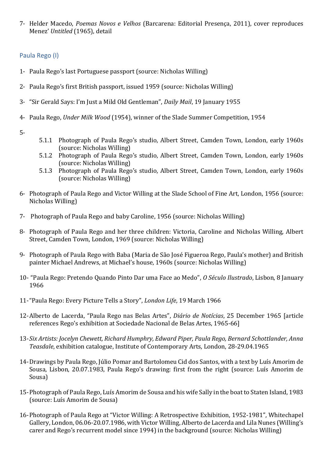7- Helder Macedo, *Poemas Novos e Velhos* (Barcarena: Editorial Presença, 2011), cover reproduces Menez' *Untitled* (1965), detail

# Paula Rego (I)

- 1- Paula Rego's last Portuguese passport (source: Nicholas Willing)
- 2- Paula Rego's first British passport, issued 1959 (source: Nicholas Willing)
- 3- "Sir Gerald Says: I'm Just a Mild Old Gentleman", *Daily Mail*, 19 January 1955
- 4- Paula Rego, *Under Milk Wood* (1954), winner of the Slade Summer Competition, 1954
- 5-
- 5.1.1 Photograph of Paula Rego's studio, Albert Street, Camden Town, London, early 1960s (source: Nicholas Willing)
- 5.1.2 Photograph of Paula Rego's studio, Albert Street, Camden Town, London, early 1960s (source: Nicholas Willing)
- 5.1.3 Photograph of Paula Rego's studio, Albert Street, Camden Town, London, early 1960s (source: Nicholas Willing)
- 6- Photograph of Paula Rego and Victor Willing at the Slade School of Fine Art, London, 1956 (source: Nicholas Willing)
- 7- Photograph of Paula Rego and baby Caroline, 1956 (source: Nicholas Willing)
- 8- Photograph of Paula Rego and her three children: Victoria, Caroline and Nicholas Willing, Albert Street, Camden Town, London, 1969 (source: Nicholas Willing)
- 9- Photograph of Paula Rego with Baba (Maria de São José Figueroa Rego, Paula's mother) and British painter Michael Andrews, at Michael's house, 1960s (source: Nicholas Willing)
- 10- "Paula Rego: Pretendo Quando Pinto Dar uma Face ao Medo", *O Século Ilustrado*, Lisbon, 8 January 1966
- 11-"Paula Rego: Every Picture Tells a Story", *London Life*, 19 March 1966
- 12-Alberto de Lacerda, "Paula Rego nas Belas Artes", *Diário de Notícias*, 25 December 1965 [article references Rego's exhibition at Sociedade Nacional de Belas Artes, 1965-66]
- 13-*Six Artists: Jocelyn Chewett, Richard Humphry, Edward Piper, Paula Rego, Bernard Schottlander, Anna Teasdale*, exhibition catalogue, Institute of Contemporary Arts, London, 28-29.04.1965
- 14-Drawings by Paula Rego, Júlio Pomar and Bartolomeu Cid dos Santos, with a text by Luís Amorim de Sousa, Lisbon, 20.07.1983, Paula Rego's drawing: first from the right (source: Luís Amorim de Sousa)
- 15-Photograph of Paula Rego, Luís Amorim de Sousa and his wife Sally in the boat to Staten Island, 1983 (source: Luís Amorim de Sousa)
- 16-Photograph of Paula Rego at "Victor Willing: A Retrospective Exhibition, 1952-1981", Whitechapel Gallery, London, 06.06-20.07.1986, with Victor Willing, Alberto de Lacerda and Lila Nunes (Willing's carer and Rego's recurrent model since 1994) in the background (source: Nicholas Willing)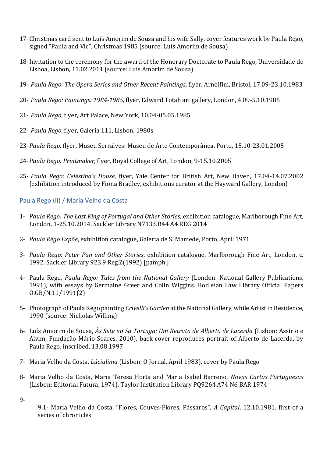- 17-Christmas card sent to Luís Amorim de Sousa and his wife Sally, cover features work by Paula Rego, signed "Paula and Vic", Christmas 1985 (source: Luís Amorim de Sousa)
- 18-Invitation to the ceremony for the award of the Honorary Doctorate to Paula Rego, Universidade de Lisboa, Lisbon, 11.02.2011 (source: Luís Amorim de Sousa)
- 19- *Paula Rego: The Opera Series and Other Recent Paintings*, flyer, Arnolfini, Bristol, 17.09-23.10.1983
- 20- *Paula Rego: Paintings: 1984-1985*, flyer, Edward Totah art gallery, London, 4.09-5.10.1985
- 21- *Paula Rego*, flyer, Art Palace, New York, 10.04-05.05.1985
- 22- *Paula Rego*, flyer, Galeria 111, Lisbon, 1980s
- 23-*Paula Rego*, flyer, Museu Serralves: Museu de Arte Contemporânea, Porto, 15.10-23.01.2005
- 24-*Paula Rego: Printmaker,* flyer, Royal College of Art, London, 9-15.10.2005
- 25- *Paula Rego: Celestina's House*, flyer, Yale Center for British Art, New Haven, 17.04-14.07.2002 [exhibition introduced by Fiona Bradley, exhibitions curator at the Hayward Gallery, London]

## Paula Rego (II) / Maria Velho da Costa

- 1- *Paula Rego: The Last King of Portugal and Other Stories*, exhibition catalogue, Marlborough Fine Art, London, 1-25.10.2014. Sackler Library N7133.R44 A4 REG 2014
- 2- *Paula Rêgo Expõe*, exhibition catalogue, Galeria de S. Mamede, Porto, April 1971
- 3- *Paula Rego: Peter Pan and Other Stories*, exhibition catalogue, Marlborough Fine Art, London, c. 1992. Sackler Library 923.9 Reg.Z(1992) [pamph.]
- 4- Paula Rego, *Paula Rego: Tales from the National Gallery* (London: National Gallery Publications, 1991), with essays by Germaine Greer and Colin Wiggins. Bodleian Law Library Official Papers O.GB/N.11/1991(2)
- 5- Photograph of Paula Rego painting *Crivelli's Garden* at the National Gallery, while Artist in Residence, 1990 (source: Nicholas Willing)
- 6- Luís Amorim de Sousa, *Às Sete no Sa Tortuga: Um Retrato de Alberto de Lacerda* (Lisbon: Assírio e Alvim, Fundação Mário Soares, 2010), back cover reproduces portrait of Alberto de Lacerda, by Paula Rego, inscribed, 13.08.1997
- 7- Maria Velho da Costa, *Lúcialima* (Lisbon: O Jornal, April 1983), cover by Paula Rego
- 8- Maria Velho da Costa, Maria Teresa Horta and Maria Isabel Barreno, *Novas Cartas Portuguesas*  (Lisbon: Editorial Futura, 1974). Taylor Institution Library PQ9264.A74 N6 BAR 1974
- 9-
- 9.1- Maria Velho da Costa, "Flores, Couves-Flores, Pássaros", *A Capital*, 12.10.1981, first of a series of chronicles